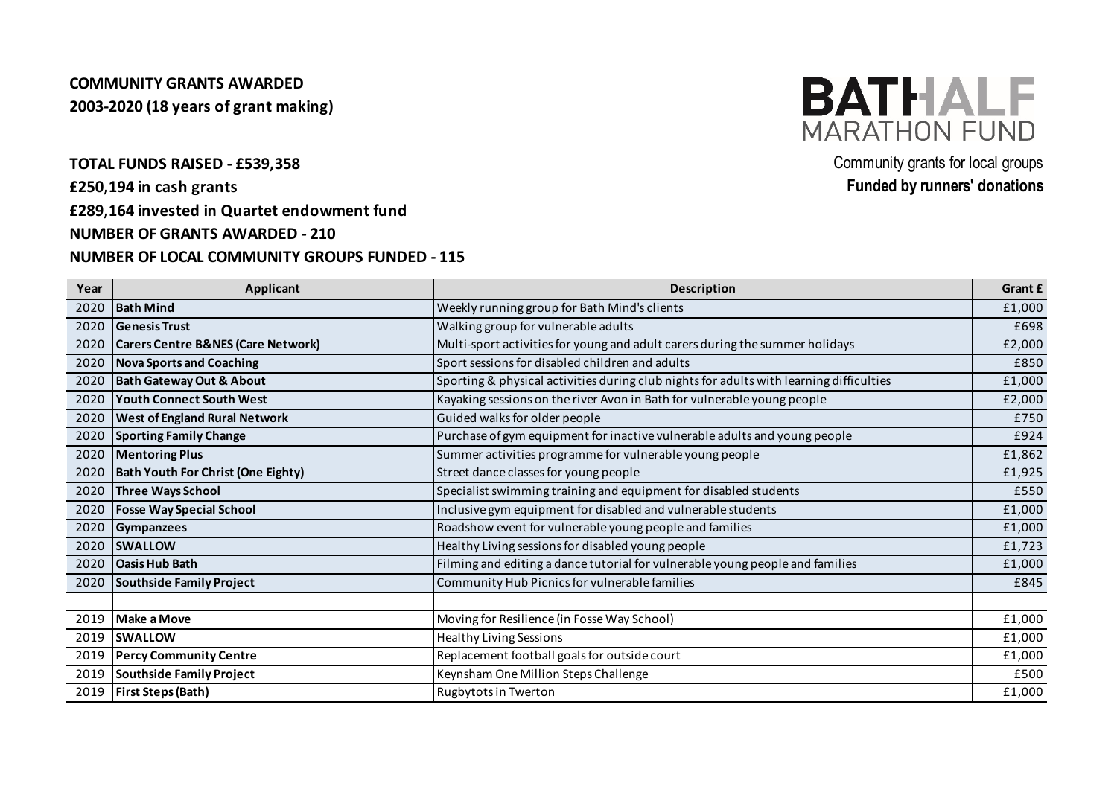## **COMMUNITY GRANTS AWARDED 2003-2020 (18 years of grant making)**

**£250,194 in cash grants**

**£289,164 invested in Quartet endowment fund**

### **NUMBER OF GRANTS AWARDED - 210**

#### **NUMBER OF LOCAL COMMUNITY GROUPS FUNDED - 115**



**TOTAL FUNDS RAISED - £539,358** Community grants for local groups **Funded by runners' donations**

| Year | Applicant                                     | <b>Description</b>                                                                      | Grant £ |
|------|-----------------------------------------------|-----------------------------------------------------------------------------------------|---------|
| 2020 | <b>Bath Mind</b>                              | Weekly running group for Bath Mind's clients                                            | £1,000  |
| 2020 | <b>Genesis Trust</b>                          | Walking group for vulnerable adults                                                     | £698    |
| 2020 | <b>Carers Centre B&amp;NES (Care Network)</b> | Multi-sport activities for young and adult carers during the summer holidays            | £2,000  |
| 2020 | <b>Nova Sports and Coaching</b>               | Sport sessions for disabled children and adults                                         | £850    |
| 2020 | <b>Bath Gateway Out &amp; About</b>           | Sporting & physical activities during club nights for adults with learning difficulties | £1,000  |
| 2020 | <b>Youth Connect South West</b>               | Kayaking sessions on the river Avon in Bath for vulnerable young people                 | £2,000  |
| 2020 | <b>West of England Rural Network</b>          | Guided walks for older people                                                           | £750    |
| 2020 | <b>Sporting Family Change</b>                 | Purchase of gym equipment for inactive vulnerable adults and young people               | £924    |
| 2020 | <b>Mentoring Plus</b>                         | Summer activities programme for vulnerable young people                                 | £1,862  |
| 2020 | <b>Bath Youth For Christ (One Eighty)</b>     | Street dance classes for young people                                                   | £1,925  |
| 2020 | <b>Three Ways School</b>                      | Specialist swimming training and equipment for disabled students                        | £550    |
| 2020 | <b>Fosse Way Special School</b>               | Inclusive gym equipment for disabled and vulnerable students                            | £1,000  |
| 2020 | Gympanzees                                    | Roadshow event for vulnerable young people and families                                 | £1,000  |
| 2020 | <b>SWALLOW</b>                                | Healthy Living sessions for disabled young people                                       | £1,723  |
| 2020 | <b>Oasis Hub Bath</b>                         | Filming and editing a dance tutorial for vulnerable young people and families           | £1,000  |
| 2020 | Southside Family Project                      | Community Hub Picnics for vulnerable families                                           | £845    |
|      |                                               |                                                                                         |         |
| 2019 | <b>Make a Move</b>                            | Moving for Resilience (in Fosse Way School)                                             | £1,000  |
| 2019 | <b>SWALLOW</b>                                | <b>Healthy Living Sessions</b>                                                          | £1,000  |
| 2019 | <b>Percy Community Centre</b>                 | Replacement football goals for outside court                                            | £1,000  |
| 2019 | Southside Family Project                      | Keynsham One Million Steps Challenge                                                    | £500    |
| 2019 | <b>First Steps (Bath)</b>                     | Rugbytots in Twerton                                                                    | £1,000  |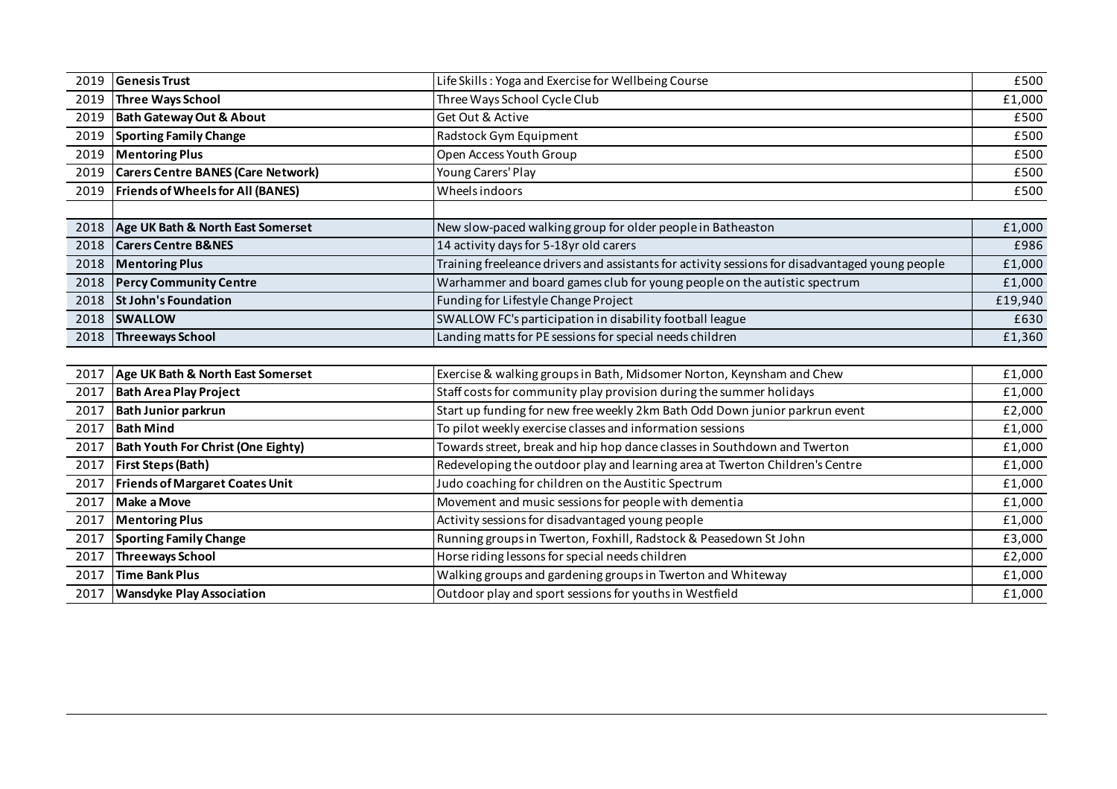| 2019 | <b>Genesis Trust</b>                      | Life Skills: Yoga and Exercise for Wellbeing Course                                             | £500    |
|------|-------------------------------------------|-------------------------------------------------------------------------------------------------|---------|
| 2019 | Three Ways School                         | Three Ways School Cycle Club                                                                    | £1,000  |
| 2019 | <b>Bath Gateway Out &amp; About</b>       | Get Out & Active                                                                                | £500    |
| 2019 | <b>Sporting Family Change</b>             | Radstock Gym Equipment                                                                          | £500    |
| 2019 | <b>Mentoring Plus</b>                     | Open Access Youth Group                                                                         | £500    |
| 2019 | <b>Carers Centre BANES (Care Network)</b> | Young Carers' Play                                                                              | £500    |
| 2019 | <b>Friends of Wheels for All (BANES)</b>  | Wheels indoors                                                                                  | £500    |
|      |                                           |                                                                                                 |         |
| 2018 | Age UK Bath & North East Somerset         | New slow-paced walking group for older people in Batheaston                                     | £1,000  |
| 2018 | <b>Carers Centre B&amp;NES</b>            | 14 activity days for 5-18yr old carers                                                          | £986    |
| 2018 | <b>Mentoring Plus</b>                     | Training freeleance drivers and assistants for activity sessions for disadvantaged young people | £1,000  |
| 2018 | <b>Percy Community Centre</b>             | Warhammer and board games club for young people on the autistic spectrum                        | £1,000  |
| 2018 | <b>St John's Foundation</b>               | Funding for Lifestyle Change Project                                                            | £19,940 |
| 2018 | <b>SWALLOW</b>                            | SWALLOW FC's participation in disability football league                                        | £630    |
| 2018 | Threeways School                          | Landing matts for PE sessions for special needs children                                        | £1,360  |
|      |                                           |                                                                                                 |         |
| 2017 | Age UK Bath & North East Somerset         | Exercise & walking groups in Bath, Midsomer Norton, Keynsham and Chew                           | £1,000  |
| 2017 | <b>Bath Area Play Project</b>             | Staff costs for community play provision during the summer holidays                             | £1,000  |
| 2017 | <b>Bath Junior parkrun</b>                | Start up funding for new free weekly 2km Bath Odd Down junior parkrun event                     | £2,000  |
| 2017 | <b>Bath Mind</b>                          | To pilot weekly exercise classes and information sessions                                       | £1,000  |
| 2017 | <b>Bath Youth For Christ (One Eighty)</b> | Towards street, break and hip hop dance classes in Southdown and Twerton                        | £1,000  |
| 2017 | <b>First Steps (Bath)</b>                 | Redeveloping the outdoor play and learning area at Twerton Children's Centre                    | £1,000  |
| 2017 | <b>Friends of Margaret Coates Unit</b>    | Judo coaching for children on the Austitic Spectrum                                             | £1,000  |
| 2017 | Make a Move                               | Movement and music sessions for people with dementia                                            | £1,000  |
| 2017 | <b>Mentoring Plus</b>                     | Activity sessions for disadvantaged young people                                                | £1,000  |
| 2017 | <b>Sporting Family Change</b>             | Running groups in Twerton, Foxhill, Radstock & Peasedown St John                                | £3,000  |
| 2017 | Threeways School                          | Horse riding lessons for special needs children                                                 | £2,000  |
| 2017 | Time Bank Plus                            | Walking groups and gardening groups in Twerton and Whiteway                                     | £1,000  |
| 2017 | <b>Wansdyke Play Association</b>          | Outdoor play and sport sessions for youths in Westfield                                         | £1,000  |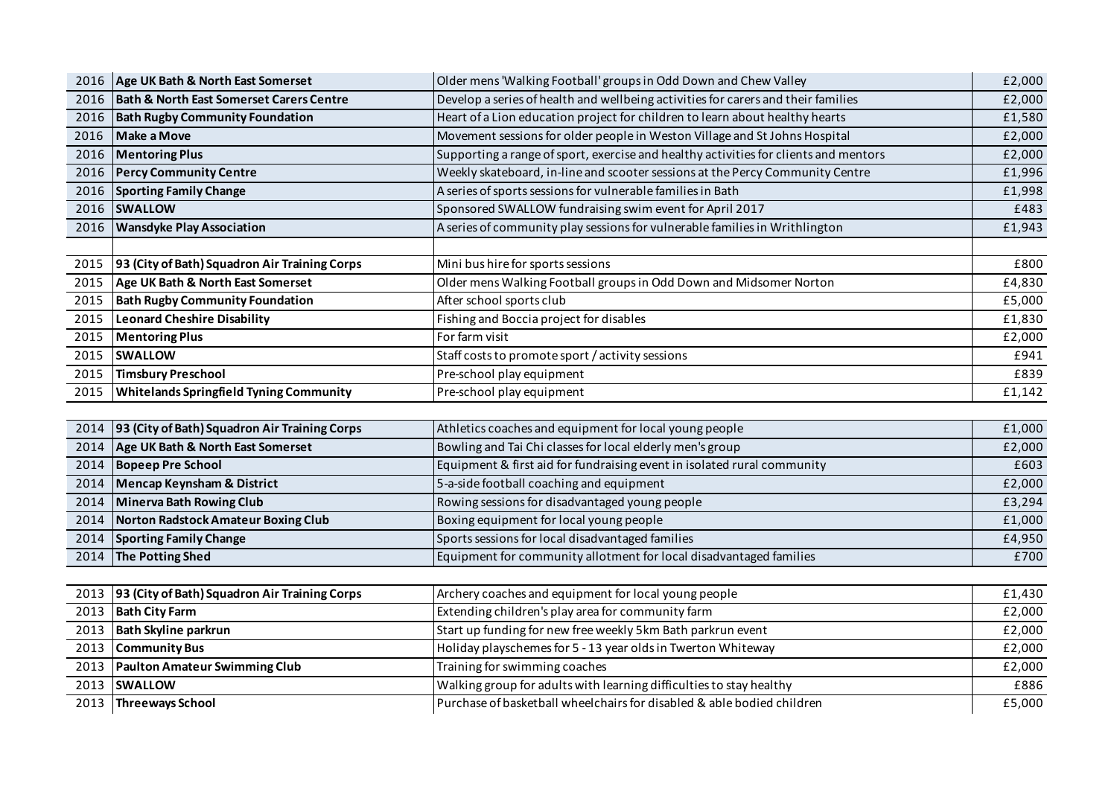|      | 2016   Age UK Bath & North East Somerset            | Older mens 'Walking Football' groups in Odd Down and Chew Valley                     | £2,000 |
|------|-----------------------------------------------------|--------------------------------------------------------------------------------------|--------|
| 2016 | <b>Bath &amp; North East Somerset Carers Centre</b> | Develop a series of health and wellbeing activities for carers and their families    | £2,000 |
| 2016 | <b>Bath Rugby Community Foundation</b>              | Heart of a Lion education project for children to learn about healthy hearts         | £1,580 |
| 2016 | Make a Move                                         | Movement sessions for older people in Weston Village and St Johns Hospital           | £2,000 |
| 2016 | <b>Mentoring Plus</b>                               | Supporting a range of sport, exercise and healthy activities for clients and mentors | £2,000 |
| 2016 | <b>Percy Community Centre</b>                       | Weekly skateboard, in-line and scooter sessions at the Percy Community Centre        | £1,996 |
| 2016 | <b>Sporting Family Change</b>                       | A series of sports sessions for vulnerable families in Bath                          | £1,998 |
| 2016 | <b>SWALLOW</b>                                      | Sponsored SWALLOW fundraising swim event for April 2017                              | £483   |
| 2016 | <b>Wansdyke Play Association</b>                    | A series of community play sessions for vulnerable families in Writhlington          | £1,943 |
|      |                                                     |                                                                                      |        |
| 2015 | 93 (City of Bath) Squadron Air Training Corps       | Mini bus hire for sports sessions                                                    | £800   |
| 2015 | Age UK Bath & North East Somerset                   | Older mens Walking Football groups in Odd Down and Midsomer Norton                   | £4,830 |
| 2015 | <b>Bath Rugby Community Foundation</b>              | After school sports club                                                             | £5,000 |
| 2015 | Leonard Cheshire Disability                         | Fishing and Boccia project for disables                                              | £1,830 |
| 2015 | <b>Mentoring Plus</b>                               | For farm visit                                                                       | £2,000 |
| 2015 | <b>SWALLOW</b>                                      | Staff costs to promote sport / activity sessions                                     | £941   |
| 2015 | Timsbury Preschool                                  | Pre-school play equipment                                                            | £839   |
| 2015 | <b>Whitelands Springfield Tyning Community</b>      | Pre-school play equipment                                                            | £1,142 |
|      |                                                     |                                                                                      |        |
| 2014 | 93 (City of Bath) Squadron Air Training Corps       | Athletics coaches and equipment for local young people                               | £1,000 |
| 2014 | Age UK Bath & North East Somerset                   | Bowling and Tai Chi classes for local elderly men's group                            | £2,000 |
| 2014 | <b>Bopeep Pre School</b>                            | Equipment & first aid for fundraising event in isolated rural community              | £603   |
| 2014 | <b>Mencap Keynsham &amp; District</b>               | 5-a-side football coaching and equipment                                             | £2,000 |
| 2014 | Minerva Bath Rowing Club                            | Rowing sessions for disadvantaged young people                                       | £3,294 |
| 2014 | Norton Radstock Amateur Boxing Club                 | Boxing equipment for local young people                                              | £1,000 |
| 2014 | <b>Sporting Family Change</b>                       | Sports sessions for local disadvantaged families                                     | £4,950 |
| 2014 | The Potting Shed                                    | Equipment for community allotment for local disadvantaged families                   | £700   |
|      |                                                     |                                                                                      |        |
| 2013 | 93 (City of Bath) Squadron Air Training Corps       | Archery coaches and equipment for local young people                                 | £1,430 |
| 2013 | <b>Bath City Farm</b>                               | Extending children's play area for community farm                                    | £2,000 |
| 2013 | <b>Bath Skyline parkrun</b>                         | Start up funding for new free weekly 5km Bath parkrun event                          | £2,000 |
| 2013 | <b>Community Bus</b>                                | Holiday playschemes for 5 - 13 year olds in Twerton Whiteway                         | £2,000 |
| 2013 | <b>Paulton Amateur Swimming Club</b>                | Training for swimming coaches                                                        | £2,000 |
| 2013 | <b>SWALLOW</b>                                      | Walking group for adults with learning difficulties to stay healthy                  | £886   |
| 2013 | <b>Threeways School</b>                             | Purchase of basketball wheelchairs for disabled & able bodied children               | £5,000 |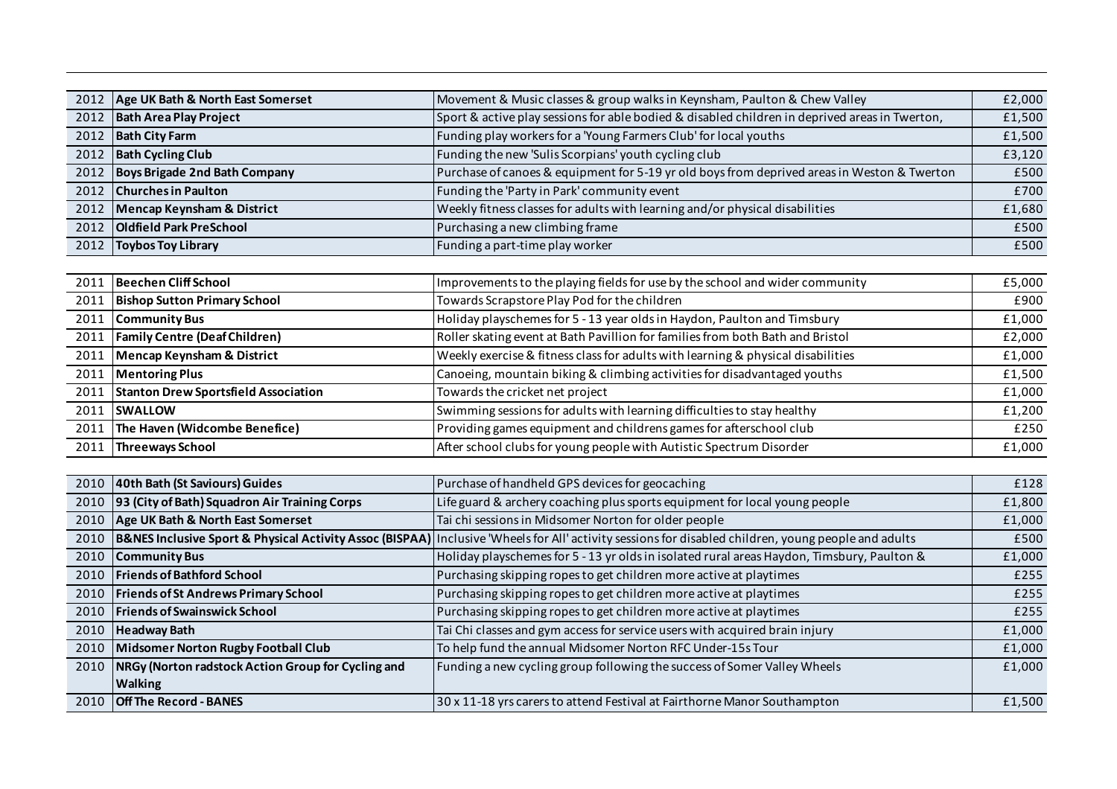| 2012   Age UK Bath & North East Somerset | Movement & Music classes & group walks in Keynsham, Paulton & Chew Valley                      | £2,000 |
|------------------------------------------|------------------------------------------------------------------------------------------------|--------|
| 2012 Bath Area Play Project              | Sport & active play sessions for able bodied & disabled children in deprived areas in Twerton, | £1,500 |
| 2012 Bath City Farm                      | Funding play workers for a 'Young Farmers Club' for local youths                               | £1,500 |
| 2012   Bath Cycling Club                 | Funding the new 'Sulis Scorpians' youth cycling club                                           | £3,120 |
| 2012 Boys Brigade 2nd Bath Company       | Purchase of canoes & equipment for 5-19 yr old boys from deprived areas in Weston & Twerton    | £500   |
| 2012 Churches in Paulton                 | Funding the 'Party in Park' community event                                                    | £700   |
| 2012 Mencap Keynsham & District          | Weekly fitness classes for adults with learning and/or physical disabilities                   | £1,680 |
| 2012 <b>Oldfield Park PreSchool</b>      | Purchasing a new climbing frame                                                                | £500   |
| 2012   Toybos Toy Library                | Funding a part-time play worker                                                                | £500   |

|      | 2011 Beechen Cliff School                 | Improvements to the playing fields for use by the school and wider community     | £5,000 |
|------|-------------------------------------------|----------------------------------------------------------------------------------|--------|
|      | 2011 Bishop Sutton Primary School         | Towards Scrapstore Play Pod for the children                                     | £900   |
|      | 2011 Community Bus                        | Holiday playschemes for 5 - 13 year olds in Haydon, Paulton and Timsbury         | £1,000 |
|      | 2011   Family Centre (Deaf Children)      | Roller skating event at Bath Pavillion for families from both Bath and Bristol   | £2,000 |
|      | 2011 Mencap Keynsham & District           | Weekly exercise & fitness class for adults with learning & physical disabilities | £1,000 |
|      | 2011   Mentoring Plus                     | Canoeing, mountain biking & climbing activities for disadvantaged youths         | £1,500 |
|      | 2011 Stanton Drew Sportsfield Association | Towards the cricket net project                                                  | £1,000 |
|      | 2011 SWALLOW                              | Swimming sessions for adults with learning difficulties to stay healthy          | £1,200 |
|      | 2011 The Haven (Widcombe Benefice)        | Providing games equipment and childrens games for afterschool club               | £250   |
| 2011 | <b>Threeways School</b>                   | After school clubs for young people with Autistic Spectrum Disorder              | £1,000 |

| 2010 | 40th Bath (St Saviours) Guides                            | Purchase of handheld GPS devices for geocaching                                                                                                                     | £128   |
|------|-----------------------------------------------------------|---------------------------------------------------------------------------------------------------------------------------------------------------------------------|--------|
|      | 2010 93 (City of Bath) Squadron Air Training Corps        | Life guard & archery coaching plus sports equipment for local young people                                                                                          | £1,800 |
|      | 2010   Age UK Bath & North East Somerset                  | Tai chi sessions in Midsomer Norton for older people                                                                                                                | £1,000 |
| 2010 |                                                           | <b>B&amp;NES Inclusive Sport &amp; Physical Activity Assoc (BISPAA)</b> Inclusive 'Wheels for All' activity sessions for disabled children, young people and adults | £500   |
| 2010 | <b>Community Bus</b>                                      | Holiday playschemes for 5 - 13 yr olds in isolated rural areas Haydon, Timsbury, Paulton &                                                                          | £1,000 |
|      | 2010   Friends of Bathford School                         | Purchasing skipping ropes to get children more active at playtimes                                                                                                  | £255   |
| 2010 | <b>Friends of St Andrews Primary School</b>               | Purchasing skipping ropes to get children more active at playtimes                                                                                                  | £255   |
| 2010 | <b>Friends of Swainswick School</b>                       | Purchasing skipping ropes to get children more active at playtimes                                                                                                  | £255   |
| 2010 | <b>Headway Bath</b>                                       | Tai Chi classes and gym access for service users with acquired brain injury                                                                                         | £1,000 |
| 2010 | Midsomer Norton Rugby Football Club                       | To help fund the annual Midsomer Norton RFC Under-15s Tour                                                                                                          | £1,000 |
|      | 2010   NRGy (Norton radstock Action Group for Cycling and | Funding a new cycling group following the success of Somer Valley Wheels                                                                                            | £1,000 |
|      | <b>Walking</b>                                            |                                                                                                                                                                     |        |
|      | 2010 <b>Off The Record - BANES</b>                        | 30 x 11-18 yrs carers to attend Festival at Fairthorne Manor Southampton                                                                                            | £1,500 |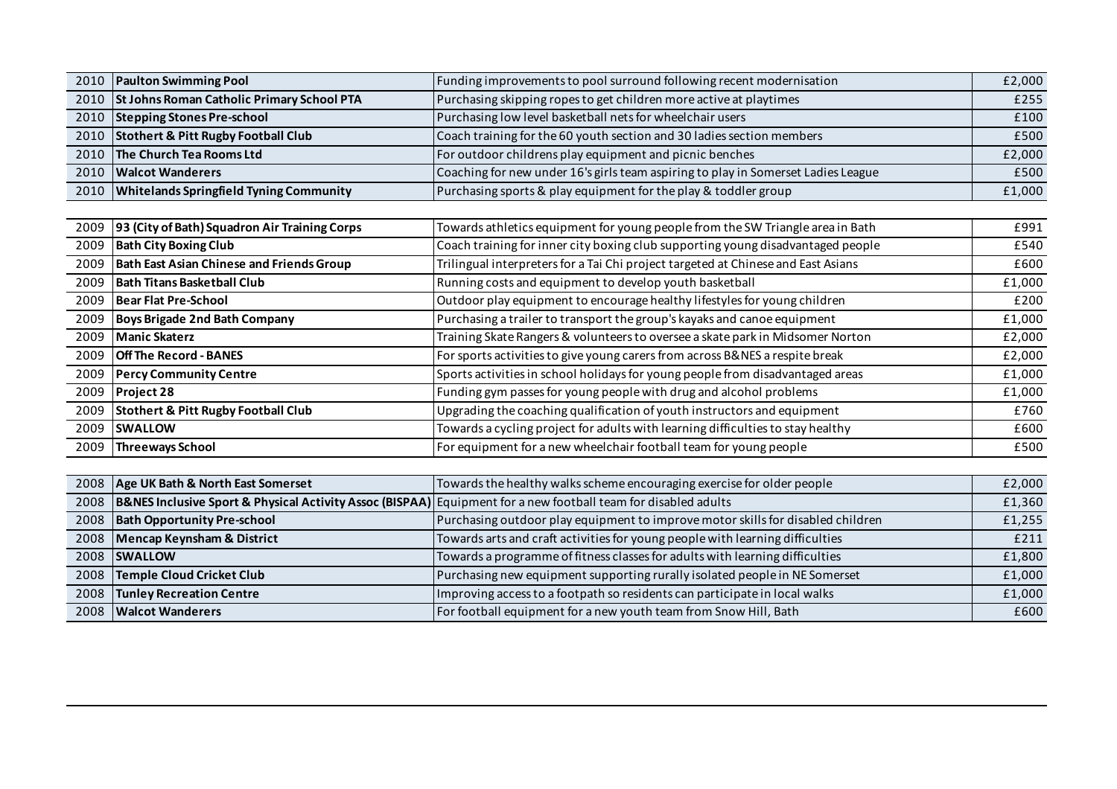| 2010 | <b>Paulton Swimming Pool</b>                      | Funding improvements to pool surround following recent modernisation              | £2,000 |
|------|---------------------------------------------------|-----------------------------------------------------------------------------------|--------|
| 2010 | <b>St Johns Roman Catholic Primary School PTA</b> | Purchasing skipping ropes to get children more active at playtimes                | £255   |
| 2010 | <b>Stepping Stones Pre-school</b>                 | Purchasing low level basketball nets for wheelchair users                         | £100   |
| 2010 | <b>Stothert &amp; Pitt Rugby Football Club</b>    | Coach training for the 60 youth section and 30 ladies section members             | £500   |
| 2010 | The Church Tea Rooms Ltd                          | For outdoor childrens play equipment and picnic benches                           | £2,000 |
| 2010 | <b>Walcot Wanderers</b>                           | Coaching for new under 16's girls team aspiring to play in Somerset Ladies League | £500   |
| 2010 | <b>Whitelands Springfield Tyning Community</b>    | Purchasing sports & play equipment for the play & toddler group                   | £1,000 |
|      |                                                   |                                                                                   |        |
| 2009 | 93 (City of Bath) Squadron Air Training Corps     | Towards athletics equipment for young people from the SW Triangle area in Bath    | £991   |
| 2009 | <b>Bath City Boxing Club</b>                      | Coach training for inner city boxing club supporting young disadvantaged people   | £540   |
| 2009 | <b>Bath East Asian Chinese and Friends Group</b>  | Trilingual interpreters for a Tai Chi project targeted at Chinese and East Asians | £600   |
| 2009 | <b>Bath Titans Basketball Club</b>                | Running costs and equipment to develop youth basketball                           | £1,000 |
| 2009 | <b>Bear Flat Pre-School</b>                       | Outdoor play equipment to encourage healthy lifestyles for young children         | £200   |
| 2009 | Boys Brigade 2nd Bath Company                     | Purchasing a trailer to transport the group's kayaks and canoe equipment          | £1,000 |
| 2009 | <b>Manic Skaterz</b>                              | Training Skate Rangers & volunteers to oversee a skate park in Midsomer Norton    | £2,000 |
| 2009 | <b>Off The Record - BANES</b>                     | For sports activities to give young carers from across B&NES a respite break      | £2,000 |
| 2009 | <b>Percy Community Centre</b>                     | Sports activities in school holidays for young people from disadvantaged areas    | £1,000 |
| 2009 | Project 28                                        | Funding gym passes for young people with drug and alcohol problems                | £1,000 |
| 2009 | <b>Stothert &amp; Pitt Rugby Football Club</b>    | Upgrading the coaching qualification of youth instructors and equipment           | £760   |
| 2009 | <b>SWALLOW</b>                                    | Towards a cycling project for adults with learning difficulties to stay healthy   | £600   |
| 2009 | <b>Threeways School</b>                           | For equipment for a new wheelchair football team for young people                 | £500   |
|      |                                                   |                                                                                   |        |

| 2008 Age UK Bath & North East Somerset                                                                              | Towards the healthy walks scheme encouraging exercise for older people          | £2,000 |
|---------------------------------------------------------------------------------------------------------------------|---------------------------------------------------------------------------------|--------|
| 2008 B&NES Inclusive Sport & Physical Activity Assoc (BISPAA) Equipment for a new football team for disabled adults |                                                                                 | £1,360 |
| 2008   Bath Opportunity Pre-school                                                                                  | Purchasing outdoor play equipment to improve motor skills for disabled children | £1,255 |
| 2008 Mencap Keynsham & District                                                                                     | Towards arts and craft activities for young people with learning difficulties   | £211   |
| 2008 SWALLOW                                                                                                        | Towards a programme of fitness classes for adults with learning difficulties    | £1,800 |
| 2008 Temple Cloud Cricket Club                                                                                      | Purchasing new equipment supporting rurally isolated people in NE Somerset      | £1,000 |
| 2008 Tunley Recreation Centre                                                                                       | Improving access to a footpath so residents can participate in local walks      | £1,000 |
| 2008   Walcot Wanderers                                                                                             | For football equipment for a new youth team from Snow Hill, Bath                | £600   |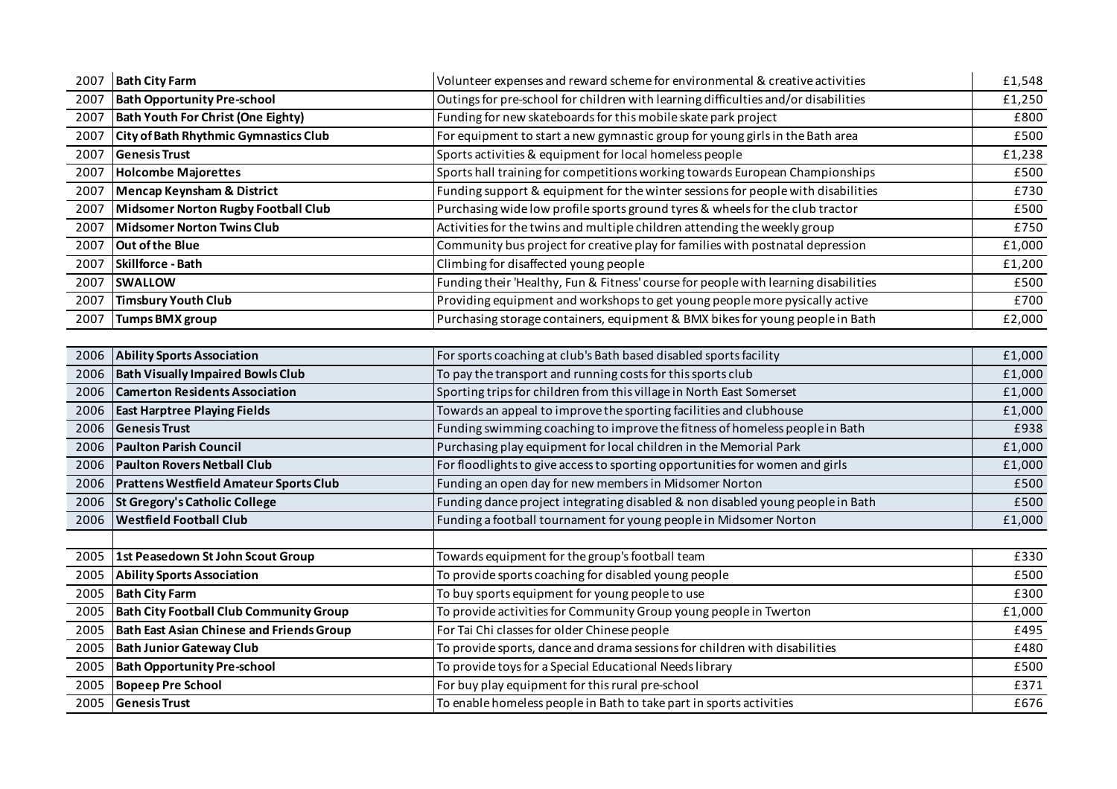| 2007 | <b>Bath City Farm</b>                            | Volunteer expenses and reward scheme for environmental & creative activities        | £1,548 |
|------|--------------------------------------------------|-------------------------------------------------------------------------------------|--------|
| 2007 | <b>Bath Opportunity Pre-school</b>               | Outings for pre-school for children with learning difficulties and/or disabilities  | £1,250 |
| 2007 | <b>Bath Youth For Christ (One Eighty)</b>        | Funding for new skateboards for this mobile skate park project                      | £800   |
| 2007 | City of Bath Rhythmic Gymnastics Club            | For equipment to start a new gymnastic group for young girls in the Bath area       | £500   |
| 2007 | <b>Genesis Trust</b>                             | Sports activities & equipment for local homeless people                             | £1,238 |
| 2007 | <b>Holcombe Majorettes</b>                       | Sports hall training for competitions working towards European Championships        | £500   |
| 2007 | Mencap Keynsham & District                       | Funding support & equipment for the winter sessions for people with disabilities    | £730   |
| 2007 | Midsomer Norton Rugby Football Club              | Purchasing wide low profile sports ground tyres & wheels for the club tractor       | £500   |
| 2007 | Midsomer Norton Twins Club                       | Activities for the twins and multiple children attending the weekly group           | £750   |
| 2007 | <b>Out of the Blue</b>                           | Community bus project for creative play for families with postnatal depression      | £1,000 |
| 2007 | Skillforce - Bath                                | Climbing for disaffected young people                                               | £1,200 |
| 2007 | <b>SWALLOW</b>                                   | Funding their 'Healthy, Fun & Fitness' course for people with learning disabilities | £500   |
| 2007 | Timsbury Youth Club                              | Providing equipment and workshops to get young people more pysically active         | £700   |
| 2007 | Tumps BMX group                                  | Purchasing storage containers, equipment & BMX bikes for young people in Bath       | £2,000 |
|      |                                                  |                                                                                     |        |
| 2006 | <b>Ability Sports Association</b>                | For sports coaching at club's Bath based disabled sports facility                   | £1,000 |
| 2006 | <b>Bath Visually Impaired Bowls Club</b>         | To pay the transport and running costs for this sports club                         | £1,000 |
| 2006 | <b>Camerton Residents Association</b>            | Sporting trips for children from this village in North East Somerset                | £1,000 |
| 2006 | <b>East Harptree Playing Fields</b>              | Towards an appeal to improve the sporting facilities and clubhouse                  | £1,000 |
| 2006 | <b>Genesis Trust</b>                             | Funding swimming coaching to improve the fitness of homeless people in Bath         | £938   |
| 2006 | <b>Paulton Parish Council</b>                    | Purchasing play equipment for local children in the Memorial Park                   | £1,000 |
| 2006 | <b>Paulton Rovers Netball Club</b>               | For floodlights to give access to sporting opportunities for women and girls        | £1,000 |
| 2006 | <b>Prattens Westfield Amateur Sports Club</b>    | Funding an open day for new members in Midsomer Norton                              | £500   |
| 2006 | St Gregory's Catholic College                    | Funding dance project integrating disabled & non disabled young people in Bath      | £500   |
| 2006 | <b>Westfield Football Club</b>                   | Funding a football tournament for young people in Midsomer Norton                   | £1,000 |
|      |                                                  |                                                                                     |        |
| 2005 | 1st Peasedown St John Scout Group                | Towards equipment for the group's football team                                     | £330   |
| 2005 | <b>Ability Sports Association</b>                | To provide sports coaching for disabled young people                                | £500   |
| 2005 | <b>Bath City Farm</b>                            | To buy sports equipment for young people to use                                     | £300   |
| 2005 | <b>Bath City Football Club Community Group</b>   | To provide activities for Community Group young people in Twerton                   | £1,000 |
| 2005 | <b>Bath East Asian Chinese and Friends Group</b> | For Tai Chi classes for older Chinese people                                        | £495   |
| 2005 | <b>Bath Junior Gateway Club</b>                  | To provide sports, dance and drama sessions for children with disabilities          | £480   |
| 2005 | <b>Bath Opportunity Pre-school</b>               | To provide toys for a Special Educational Needs library                             | £500   |
| 2005 | <b>Bopeep Pre School</b>                         | For buy play equipment for this rural pre-school                                    | £371   |
| 2005 | <b>Genesis Trust</b>                             | To enable homeless people in Bath to take part in sports activities                 | £676   |
|      |                                                  |                                                                                     |        |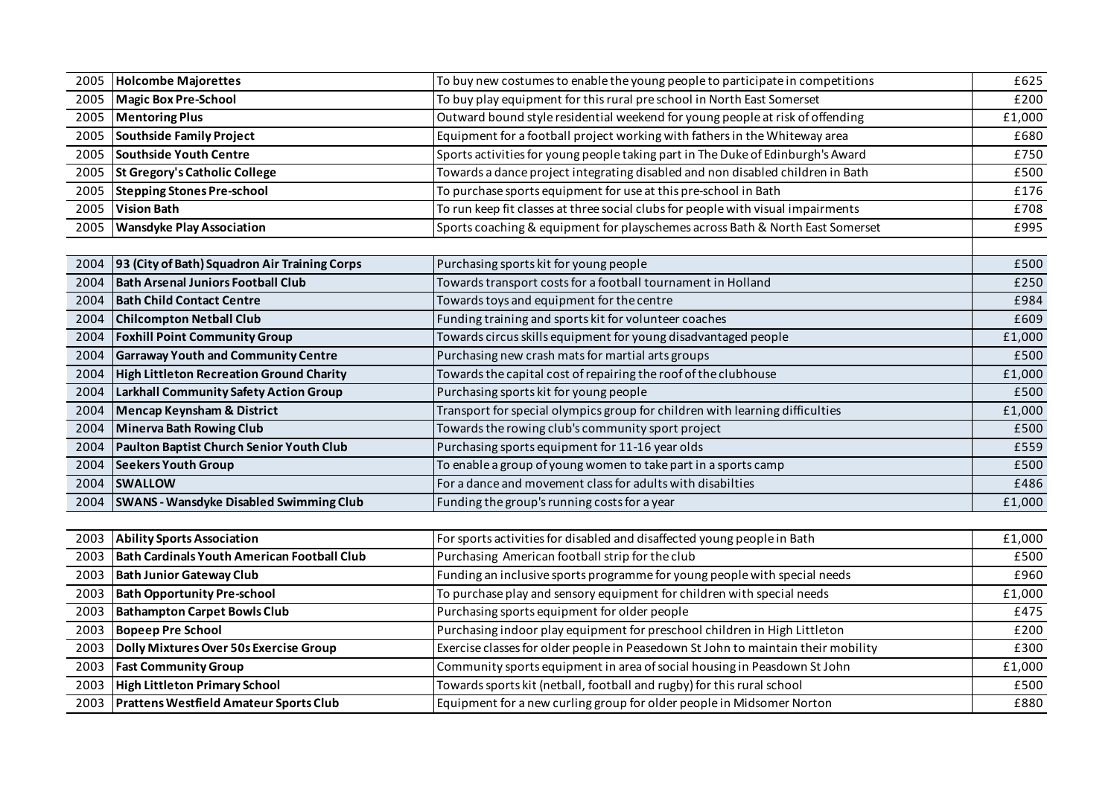| 2005 | <b>Holcombe Majorettes</b>                         | To buy new costumes to enable the young people to participate in competitions     | £625   |
|------|----------------------------------------------------|-----------------------------------------------------------------------------------|--------|
| 2005 | Magic Box Pre-School                               | To buy play equipment for this rural pre school in North East Somerset            | £200   |
| 2005 | <b>Mentoring Plus</b>                              | Outward bound style residential weekend for young people at risk of offending     | £1,000 |
| 2005 | Southside Family Project                           | Equipment for a football project working with fathers in the Whiteway area        | £680   |
| 2005 | Southside Youth Centre                             | Sports activities for young people taking part in The Duke of Edinburgh's Award   | £750   |
| 2005 | St Gregory's Catholic College                      | Towards a dance project integrating disabled and non disabled children in Bath    | £500   |
| 2005 | <b>Stepping Stones Pre-school</b>                  | To purchase sports equipment for use at this pre-school in Bath                   | £176   |
| 2005 | <b>Vision Bath</b>                                 | To run keep fit classes at three social clubs for people with visual impairments  | £708   |
| 2005 | <b>Wansdyke Play Association</b>                   | Sports coaching & equipment for playschemes across Bath & North East Somerset     | £995   |
|      |                                                    |                                                                                   |        |
| 2004 | 93 (City of Bath) Squadron Air Training Corps      | Purchasing sports kit for young people                                            | £500   |
| 2004 | <b>Bath Arsenal Juniors Football Club</b>          | Towards transport costs for a football tournament in Holland                      | £250   |
| 2004 | <b>Bath Child Contact Centre</b>                   | Towards toys and equipment for the centre                                         | £984   |
| 2004 | <b>Chilcompton Netball Club</b>                    | Funding training and sports kit for volunteer coaches                             | £609   |
| 2004 | <b>Foxhill Point Community Group</b>               | Towards circus skills equipment for young disadvantaged people                    | £1,000 |
| 2004 | <b>Garraway Youth and Community Centre</b>         | Purchasing new crash mats for martial arts groups                                 | £500   |
| 2004 | <b>High Littleton Recreation Ground Charity</b>    | Towards the capital cost of repairing the roof of the clubhouse                   | £1,000 |
| 2004 | Larkhall Community Safety Action Group             | Purchasing sports kit for young people                                            | £500   |
| 2004 | <b>Mencap Keynsham &amp; District</b>              | Transport for special olympics group for children with learning difficulties      | £1,000 |
| 2004 | Minerva Bath Rowing Club                           | Towards the rowing club's community sport project                                 | £500   |
| 2004 | Paulton Baptist Church Senior Youth Club           | Purchasing sports equipment for 11-16 year olds                                   | £559   |
| 2004 | <b>Seekers Youth Group</b>                         | To enable a group of young women to take part in a sports camp                    | £500   |
| 2004 | <b>SWALLOW</b>                                     | For a dance and movement class for adults with disabilties                        | £486   |
| 2004 | <b>SWANS - Wansdyke Disabled Swimming Club</b>     | Funding the group's running costs for a year                                      | £1,000 |
|      |                                                    |                                                                                   |        |
| 2003 | <b>Ability Sports Association</b>                  | For sports activities for disabled and disaffected young people in Bath           | £1,000 |
| 2003 | <b>Bath Cardinals Youth American Football Club</b> | Purchasing American football strip for the club                                   | £500   |
| 2003 | <b>Bath Junior Gateway Club</b>                    | Funding an inclusive sports programme for young people with special needs         | £960   |
| 2003 | <b>Bath Opportunity Pre-school</b>                 | To purchase play and sensory equipment for children with special needs            | £1,000 |
| 2003 | <b>Bathampton Carpet Bowls Club</b>                | Purchasing sports equipment for older people                                      | £475   |
| 2003 | <b>Bopeep Pre School</b>                           | Purchasing indoor play equipment for preschool children in High Littleton         | £200   |
| 2003 | Dolly Mixtures Over 50s Exercise Group             | Exercise classes for older people in Peasedown St John to maintain their mobility | £300   |
| 2003 | <b>Fast Community Group</b>                        | Community sports equipment in area of social housing in Peasdown St John          | £1,000 |
| 2003 | <b>High Littleton Primary School</b>               | Towards sports kit (netball, football and rugby) for this rural school            | £500   |
| 2003 | <b>Prattens Westfield Amateur Sports Club</b>      | Equipment for a new curling group for older people in Midsomer Norton             | £880   |